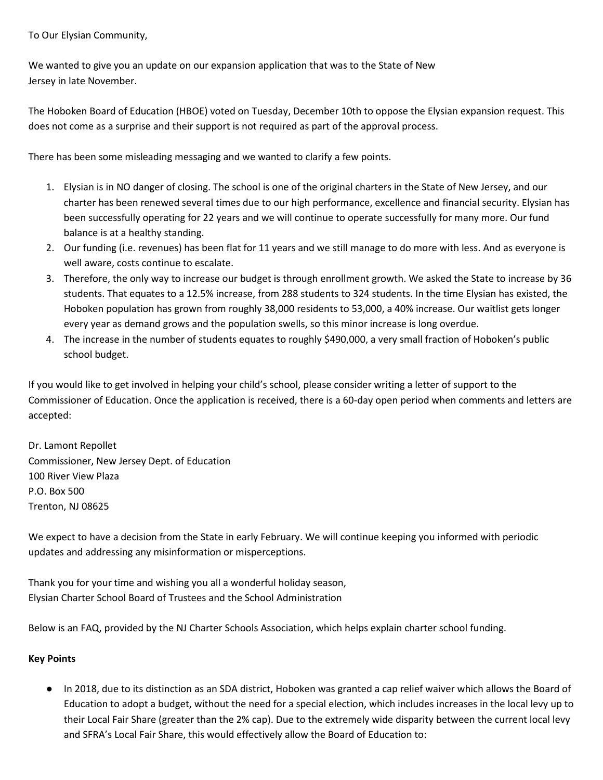To Our Elysian Community,

We wanted to give you an update on our expansion application that was to the State of New Jersey in late November.

The Hoboken Board of Education (HBOE) voted on Tuesday, December 10th to oppose the Elysian expansion request. This does not come as a surprise and their support is not required as part of the approval process.

There has been some misleading messaging and we wanted to clarify a few points.

- 1. Elysian is in NO danger of closing. The school is one of the original charters in the State of New Jersey, and our charter has been renewed several times due to our high performance, excellence and financial security. Elysian has been successfully operating for 22 years and we will continue to operate successfully for many more. Our fund balance is at a healthy standing.
- 2. Our funding (i.e. revenues) has been flat for 11 years and we still manage to do more with less. And as everyone is well aware, costs continue to escalate.
- 3. Therefore, the only way to increase our budget is through enrollment growth. We asked the State to increase by 36 students. That equates to a 12.5% increase, from 288 students to 324 students. In the time Elysian has existed, the Hoboken population has grown from roughly 38,000 residents to 53,000, a 40% increase. Our waitlist gets longer every year as demand grows and the population swells, so this minor increase is long overdue.
- 4. The increase in the number of students equates to roughly \$490,000, a very small fraction of Hoboken's public school budget.

If you would like to get involved in helping your child's school, please consider writing a letter of support to the Commissioner of Education. Once the application is received, there is a 60-day open period when comments and letters are accepted:

Dr. Lamont Repollet Commissioner, New Jersey Dept. of Education 100 River View Plaza P.O. Box 500 Trenton, NJ 08625

We expect to have a decision from the State in early February. We will continue keeping you informed with periodic updates and addressing any misinformation or misperceptions.

Thank you for your time and wishing you all a wonderful holiday season, Elysian Charter School Board of Trustees and the School Administration

Below is an FAQ, provided by the NJ Charter Schools Association, which helps explain charter school funding.

### **Key Points**

● In 2018, due to its distinction as an SDA district, Hoboken was granted a cap relief waiver which allows the Board of Education to adopt a budget, without the need for a special election, which includes increases in the local levy up to their Local Fair Share (greater than the 2% cap). Due to the extremely wide disparity between the current local levy and SFRA's Local Fair Share, this would effectively allow the Board of Education to: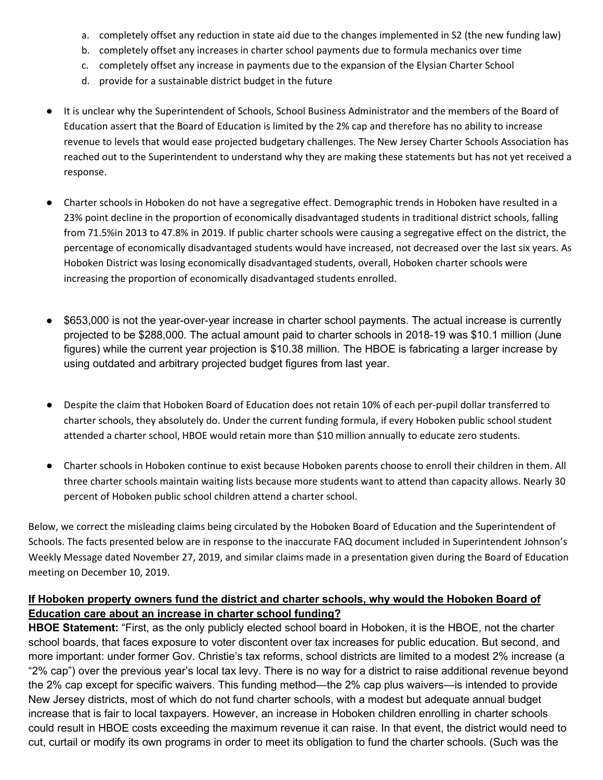- a. completely offset any reduction in state aid due to the changes implemented in S2 (the new funding law)
- b. completely offset any increases in charter school payments due to formula mechanics over time
- c. completely offset any increase in payments due to the expansion of the Elysian Charter School
- d. provide for a sustainable district budget in the future
- It is unclear why the Superintendent of Schools, School Business Administrator and the members of the Board of Education assert that the Board of Education is limited by the 2% cap and therefore has no ability to increase revenue to levels that would ease projected budgetary challenges. The New Jersey Charter Schools Association has reached out to the Superintendent to understand why they are making these statements but has not yet received a response.
- Charter schools in Hoboken do not have a segregative effect. Demographic trends in Hoboken have resulted in a 23% point decline in the proportion of economically disadvantaged students in traditional district schools, falling from 71.5%in 2013 to 47.8% in 2019. If public charter schools were causing a segregative effect on the district, the percentage of economically disadvantaged students would have increased, not decreased over the last six years. As Hoboken District was losing economically disadvantaged students, overall, Hoboken charter schools were increasing the proportion of economically disadvantaged students enrolled.
- \$653,000 is not the year-over-year increase in charter school payments. The actual increase is currently projected to be \$288,000. The actual amount paid to charter schools in 2018-19 was \$10.1 million (June figures) while the current year projection is \$10.38 million. The HBOE is fabricating a larger increase by using outdated and arbitrary projected budget figures from last year.
- Despite the claim that Hoboken Board of Education does not retain 10% of each per-pupil dollar transferred to charter schools, they absolutely do. Under the current funding formula, if every Hoboken public school student attended a charter school, HBOE would retain more than \$10 million annually to educate zero students.
- Charter schools in Hoboken continue to exist because Hoboken parents choose to enroll their children in them. All three charter schools maintain waiting lists because more students want to attend than capacity allows. Nearly 30 percent of Hoboken public school children attend a charter school.

Below, we correct the misleading claims being circulated by the Hoboken Board of Education and the Superintendent of Schools. The facts presented below are in response to the inaccurate FAQ document included in Superintendent Johnson's Weekly Message dated November 27, 2019, and similar claims made in a presentation given during the Board of Education meeting on December 10, 2019.

## **If Hoboken property owners fund the district and charter schools, why would the Hoboken Board of Education care about an increase in charter school funding?**

**HBOE Statement:** "First, as the only publicly elected school board in Hoboken, it is the HBOE, not the charter school boards, that faces exposure to voter discontent over tax increases for public education. But second, and more important: under former Gov. Christie's tax reforms, school districts are limited to a modest 2% increase (a "2% cap") over the previous year's local tax levy. There is no way for a district to raise additional revenue beyond the 2% cap except for specific waivers. This funding method—the 2% cap plus waivers—is intended to provide New Jersey districts, most of which do not fund charter schools, with a modest but adequate annual budget increase that is fair to local taxpayers. However, an increase in Hoboken children enrolling in charter schools could result in HBOE costs exceeding the maximum revenue it can raise. In that event, the district would need to cut, curtail or modify its own programs in order to meet its obligation to fund the charter schools. (Such was the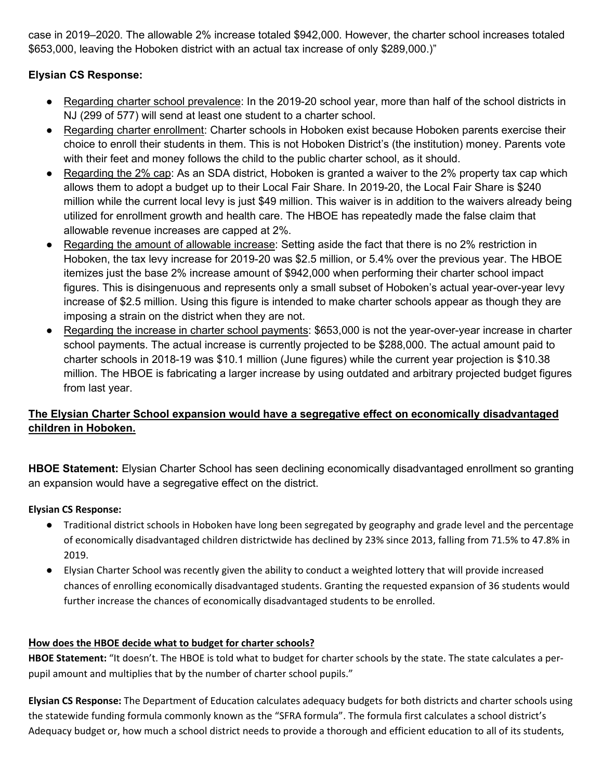case in 2019–2020. The allowable 2% increase totaled \$942,000. However, the charter school increases totaled \$653,000, leaving the Hoboken district with an actual tax increase of only \$289,000.)"

## **Elysian CS Response:**

- Regarding charter school prevalence: In the 2019-20 school year, more than half of the school districts in NJ (299 of 577) will send at least one student to a charter school.
- Regarding charter enrollment: Charter schools in Hoboken exist because Hoboken parents exercise their choice to enroll their students in them. This is not Hoboken District's (the institution) money. Parents vote with their feet and money follows the child to the public charter school, as it should.
- Regarding the 2% cap: As an SDA district, Hoboken is granted a waiver to the 2% property tax cap which allows them to adopt a budget up to their Local Fair Share. In 2019-20, the Local Fair Share is \$240 million while the current local levy is just \$49 million. This waiver is in addition to the waivers already being utilized for enrollment growth and health care. The HBOE has repeatedly made the false claim that allowable revenue increases are capped at 2%.
- Regarding the amount of allowable increase: Setting aside the fact that there is no 2% restriction in Hoboken, the tax levy increase for 2019-20 was \$2.5 million, or 5.4% over the previous year. The HBOE itemizes just the base 2% increase amount of \$942,000 when performing their charter school impact figures. This is disingenuous and represents only a small subset of Hoboken's actual year-over-year levy increase of \$2.5 million. Using this figure is intended to make charter schools appear as though they are imposing a strain on the district when they are not.
- Regarding the increase in charter school payments: \$653,000 is not the year-over-year increase in charter school payments. The actual increase is currently projected to be \$288,000. The actual amount paid to charter schools in 2018-19 was \$10.1 million (June figures) while the current year projection is \$10.38 million. The HBOE is fabricating a larger increase by using outdated and arbitrary projected budget figures from last year.

# **The Elysian Charter School expansion would have a segregative effect on economically disadvantaged children in Hoboken.**

**HBOE Statement:** Elysian Charter School has seen declining economically disadvantaged enrollment so granting an expansion would have a segregative effect on the district.

## **Elysian CS Response:**

- Traditional district schools in Hoboken have long been segregated by geography and grade level and the percentage of economically disadvantaged children districtwide has declined by 23% since 2013, falling from 71.5% to 47.8% in 2019.
- Elysian Charter School was recently given the ability to conduct a weighted lottery that will provide increased chances of enrolling economically disadvantaged students. Granting the requested expansion of 36 students would further increase the chances of economically disadvantaged students to be enrolled.

## **How does the HBOE decide what to budget for charter schools?**

**HBOE Statement:** "It doesn't. The HBOE is told what to budget for charter schools by the state. The state calculates a perpupil amount and multiplies that by the number of charter school pupils."

**Elysian CS Response:** The Department of Education calculates adequacy budgets for both districts and charter schools using the statewide funding formula commonly known as the "SFRA formula". The formula first calculates a school district's Adequacy budget or, how much a school district needs to provide a thorough and efficient education to all of its students,